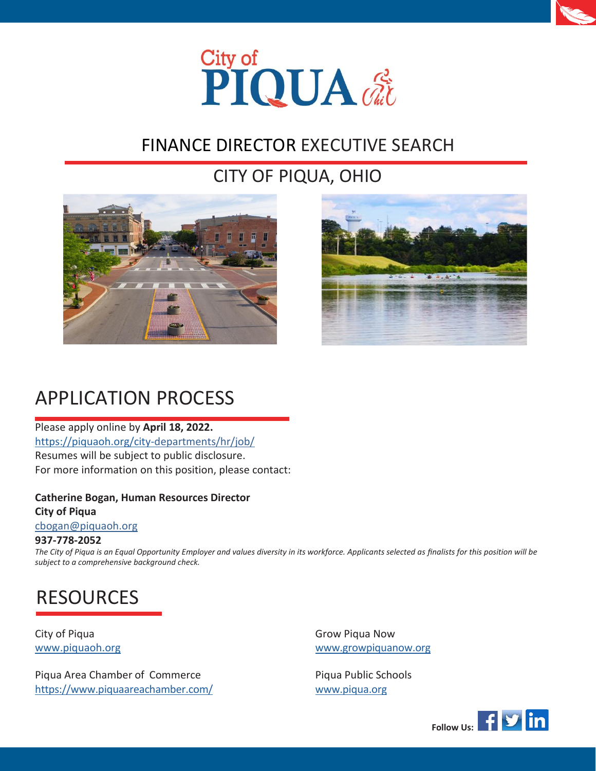



## FINANCE DIRECTOR EXECUTIVE SEARCH

## CITY OF PIQUA, OHIO





## APPLICATION PROCESS

Please apply online by **April 18, 2022.** https://piquaoh.org/city-departments/hr/job/ Resumes will be subject to public disclosure. For more information on this position, please contact:

#### **Catherine Bogan, Human Resources Director City of Piqua**

[cbogan@piquaoh.org](mailto:cbogan@piquaoh.org)

#### **937-778-2052**

The City of Piqua is an Equal Opportunity Employer and values diversity in its workforce. Applicants selected as finalists for this position will be *subject to a comprehensive background check.*

# RESOURCES

City of Piqua Grow Piqua Now

Piqua Area Chamber of Commerce **Piqua Public Schools** htt[ps://www.piquaareachamber.com/](http://www.piquaareachamber.com/) [www.piqua.org](http://www.piqua.org/)

[www.piquaoh.org](http://www.piquaoh.org/) [www.growpiquanow.org](http://www.growpiquanow.org/)